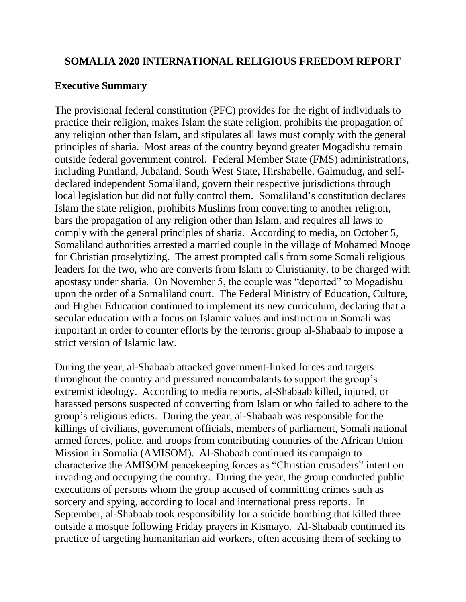# **SOMALIA 2020 INTERNATIONAL RELIGIOUS FREEDOM REPORT**

# **Executive Summary**

The provisional federal constitution (PFC) provides for the right of individuals to practice their religion, makes Islam the state religion, prohibits the propagation of any religion other than Islam, and stipulates all laws must comply with the general principles of sharia. Most areas of the country beyond greater Mogadishu remain outside federal government control. Federal Member State (FMS) administrations, including Puntland, Jubaland, South West State, Hirshabelle, Galmudug, and selfdeclared independent Somaliland, govern their respective jurisdictions through local legislation but did not fully control them. Somaliland's constitution declares Islam the state religion, prohibits Muslims from converting to another religion, bars the propagation of any religion other than Islam, and requires all laws to comply with the general principles of sharia. According to media, on October 5, Somaliland authorities arrested a married couple in the village of Mohamed Mooge for Christian proselytizing. The arrest prompted calls from some Somali religious leaders for the two, who are converts from Islam to Christianity, to be charged with apostasy under sharia. On November 5, the couple was "deported" to Mogadishu upon the order of a Somaliland court. The Federal Ministry of Education, Culture, and Higher Education continued to implement its new curriculum, declaring that a secular education with a focus on Islamic values and instruction in Somali was important in order to counter efforts by the terrorist group al-Shabaab to impose a strict version of Islamic law.

During the year, al-Shabaab attacked government-linked forces and targets throughout the country and pressured noncombatants to support the group's extremist ideology. According to media reports, al-Shabaab killed, injured, or harassed persons suspected of converting from Islam or who failed to adhere to the group's religious edicts. During the year, al-Shabaab was responsible for the killings of civilians, government officials, members of parliament, Somali national armed forces, police, and troops from contributing countries of the African Union Mission in Somalia (AMISOM). Al-Shabaab continued its campaign to characterize the AMISOM peacekeeping forces as "Christian crusaders" intent on invading and occupying the country. During the year, the group conducted public executions of persons whom the group accused of committing crimes such as sorcery and spying, according to local and international press reports. In September, al-Shabaab took responsibility for a suicide bombing that killed three outside a mosque following Friday prayers in Kismayo. Al-Shabaab continued its practice of targeting humanitarian aid workers, often accusing them of seeking to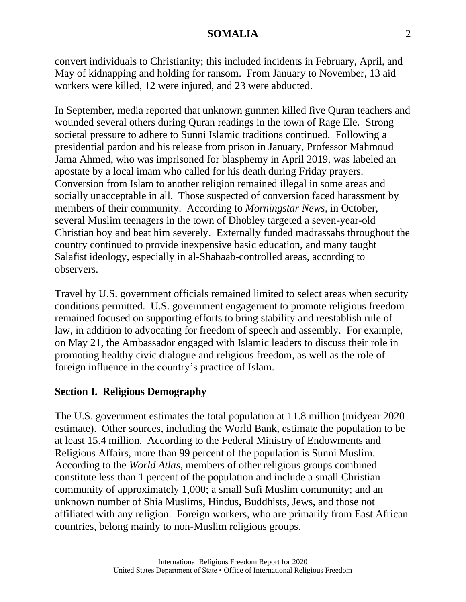convert individuals to Christianity; this included incidents in February, April, and May of kidnapping and holding for ransom. From January to November, 13 aid workers were killed, 12 were injured, and 23 were abducted.

In September, media reported that unknown gunmen killed five Quran teachers and wounded several others during Quran readings in the town of Rage Ele. Strong societal pressure to adhere to Sunni Islamic traditions continued. Following a presidential pardon and his release from prison in January, Professor Mahmoud Jama Ahmed, who was imprisoned for blasphemy in April 2019, was labeled an apostate by a local imam who called for his death during Friday prayers. Conversion from Islam to another religion remained illegal in some areas and socially unacceptable in all. Those suspected of conversion faced harassment by members of their community. According to *Morningstar News*, in October, several Muslim teenagers in the town of Dhobley targeted a seven-year-old Christian boy and beat him severely. Externally funded madrassahs throughout the country continued to provide inexpensive basic education, and many taught Salafist ideology, especially in al-Shabaab-controlled areas, according to observers.

Travel by U.S. government officials remained limited to select areas when security conditions permitted. U.S. government engagement to promote religious freedom remained focused on supporting efforts to bring stability and reestablish rule of law, in addition to advocating for freedom of speech and assembly. For example, on May 21, the Ambassador engaged with Islamic leaders to discuss their role in promoting healthy civic dialogue and religious freedom, as well as the role of foreign influence in the country's practice of Islam.

# **Section I. Religious Demography**

The U.S. government estimates the total population at 11.8 million (midyear 2020 estimate). Other sources, including the World Bank, estimate the population to be at least 15.4 million. According to the Federal Ministry of Endowments and Religious Affairs, more than 99 percent of the population is Sunni Muslim. According to the *World Atlas*, members of other religious groups combined constitute less than 1 percent of the population and include a small Christian community of approximately 1,000; a small Sufi Muslim community; and an unknown number of Shia Muslims, Hindus, Buddhists, Jews, and those not affiliated with any religion. Foreign workers, who are primarily from East African countries, belong mainly to non-Muslim religious groups.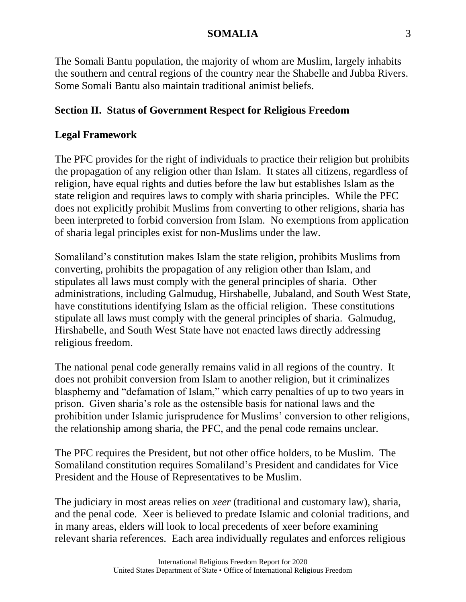The Somali Bantu population, the majority of whom are Muslim, largely inhabits the southern and central regions of the country near the Shabelle and Jubba Rivers. Some Somali Bantu also maintain traditional animist beliefs.

# **Section II. Status of Government Respect for Religious Freedom**

# **Legal Framework**

The PFC provides for the right of individuals to practice their religion but prohibits the propagation of any religion other than Islam. It states all citizens, regardless of religion, have equal rights and duties before the law but establishes Islam as the state religion and requires laws to comply with sharia principles. While the PFC does not explicitly prohibit Muslims from converting to other religions, sharia has been interpreted to forbid conversion from Islam. No exemptions from application of sharia legal principles exist for non-Muslims under the law.

Somaliland's constitution makes Islam the state religion, prohibits Muslims from converting, prohibits the propagation of any religion other than Islam, and stipulates all laws must comply with the general principles of sharia. Other administrations, including Galmudug, Hirshabelle, Jubaland, and South West State, have constitutions identifying Islam as the official religion. These constitutions stipulate all laws must comply with the general principles of sharia. Galmudug, Hirshabelle, and South West State have not enacted laws directly addressing religious freedom.

The national penal code generally remains valid in all regions of the country. It does not prohibit conversion from Islam to another religion, but it criminalizes blasphemy and "defamation of Islam," which carry penalties of up to two years in prison. Given sharia's role as the ostensible basis for national laws and the prohibition under Islamic jurisprudence for Muslims' conversion to other religions, the relationship among sharia, the PFC, and the penal code remains unclear.

The PFC requires the President, but not other office holders, to be Muslim. The Somaliland constitution requires Somaliland's President and candidates for Vice President and the House of Representatives to be Muslim.

The judiciary in most areas relies on *xeer* (traditional and customary law), sharia, and the penal code. Xeer is believed to predate Islamic and colonial traditions, and in many areas, elders will look to local precedents of xeer before examining relevant sharia references. Each area individually regulates and enforces religious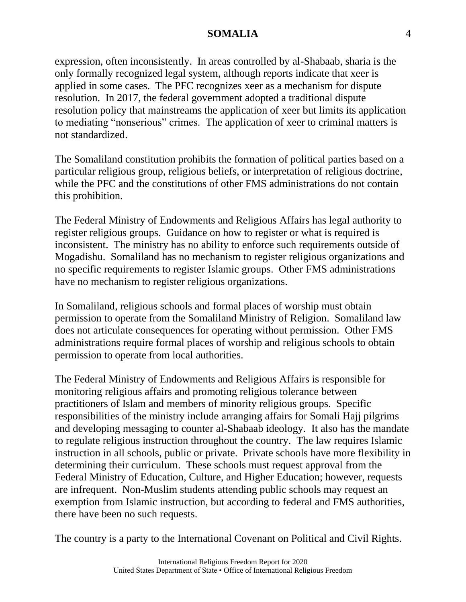expression, often inconsistently. In areas controlled by al-Shabaab, sharia is the only formally recognized legal system, although reports indicate that xeer is applied in some cases. The PFC recognizes xeer as a mechanism for dispute resolution. In 2017, the federal government adopted a traditional dispute resolution policy that mainstreams the application of xeer but limits its application to mediating "nonserious" crimes. The application of xeer to criminal matters is not standardized.

The Somaliland constitution prohibits the formation of political parties based on a particular religious group, religious beliefs, or interpretation of religious doctrine, while the PFC and the constitutions of other FMS administrations do not contain this prohibition.

The Federal Ministry of Endowments and Religious Affairs has legal authority to register religious groups. Guidance on how to register or what is required is inconsistent. The ministry has no ability to enforce such requirements outside of Mogadishu. Somaliland has no mechanism to register religious organizations and no specific requirements to register Islamic groups. Other FMS administrations have no mechanism to register religious organizations.

In Somaliland, religious schools and formal places of worship must obtain permission to operate from the Somaliland Ministry of Religion. Somaliland law does not articulate consequences for operating without permission. Other FMS administrations require formal places of worship and religious schools to obtain permission to operate from local authorities.

The Federal Ministry of Endowments and Religious Affairs is responsible for monitoring religious affairs and promoting religious tolerance between practitioners of Islam and members of minority religious groups. Specific responsibilities of the ministry include arranging affairs for Somali Hajj pilgrims and developing messaging to counter al-Shabaab ideology. It also has the mandate to regulate religious instruction throughout the country. The law requires Islamic instruction in all schools, public or private. Private schools have more flexibility in determining their curriculum. These schools must request approval from the Federal Ministry of Education, Culture, and Higher Education; however, requests are infrequent. Non-Muslim students attending public schools may request an exemption from Islamic instruction, but according to federal and FMS authorities, there have been no such requests.

The country is a party to the International Covenant on Political and Civil Rights.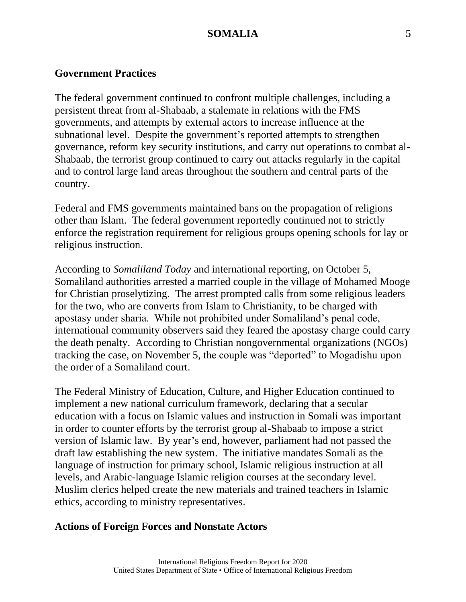#### **Government Practices**

The federal government continued to confront multiple challenges, including a persistent threat from al-Shabaab, a stalemate in relations with the FMS governments, and attempts by external actors to increase influence at the subnational level. Despite the government's reported attempts to strengthen governance, reform key security institutions, and carry out operations to combat al-Shabaab, the terrorist group continued to carry out attacks regularly in the capital and to control large land areas throughout the southern and central parts of the country.

Federal and FMS governments maintained bans on the propagation of religions other than Islam. The federal government reportedly continued not to strictly enforce the registration requirement for religious groups opening schools for lay or religious instruction.

According to *Somaliland Today* and international reporting, on October 5, Somaliland authorities arrested a married couple in the village of Mohamed Mooge for Christian proselytizing. The arrest prompted calls from some religious leaders for the two, who are converts from Islam to Christianity, to be charged with apostasy under sharia. While not prohibited under Somaliland's penal code, international community observers said they feared the apostasy charge could carry the death penalty. According to Christian nongovernmental organizations (NGOs) tracking the case, on November 5, the couple was "deported" to Mogadishu upon the order of a Somaliland court.

The Federal Ministry of Education, Culture, and Higher Education continued to implement a new national curriculum framework, declaring that a secular education with a focus on Islamic values and instruction in Somali was important in order to counter efforts by the terrorist group al-Shabaab to impose a strict version of Islamic law. By year's end, however, parliament had not passed the draft law establishing the new system. The initiative mandates Somali as the language of instruction for primary school, Islamic religious instruction at all levels, and Arabic-language Islamic religion courses at the secondary level. Muslim clerics helped create the new materials and trained teachers in Islamic ethics, according to ministry representatives.

#### **Actions of Foreign Forces and Nonstate Actors**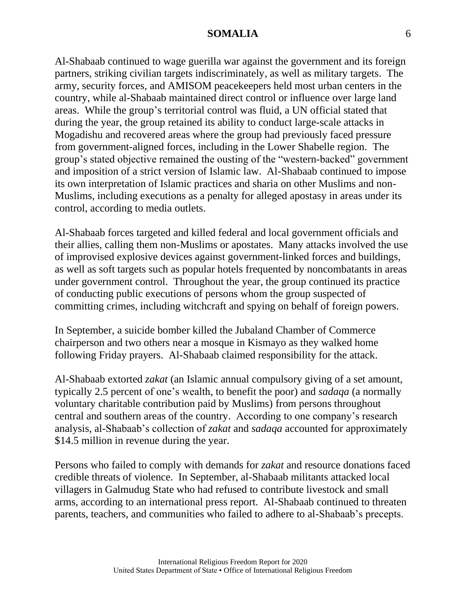Al-Shabaab continued to wage guerilla war against the government and its foreign partners, striking civilian targets indiscriminately, as well as military targets. The army, security forces, and AMISOM peacekeepers held most urban centers in the country, while al-Shabaab maintained direct control or influence over large land areas. While the group's territorial control was fluid, a UN official stated that during the year, the group retained its ability to conduct large-scale attacks in Mogadishu and recovered areas where the group had previously faced pressure from government-aligned forces, including in the Lower Shabelle region. The group's stated objective remained the ousting of the "western-backed" government and imposition of a strict version of Islamic law. Al-Shabaab continued to impose its own interpretation of Islamic practices and sharia on other Muslims and non-Muslims, including executions as a penalty for alleged apostasy in areas under its control, according to media outlets.

Al-Shabaab forces targeted and killed federal and local government officials and their allies, calling them non-Muslims or apostates. Many attacks involved the use of improvised explosive devices against government-linked forces and buildings, as well as soft targets such as popular hotels frequented by noncombatants in areas under government control. Throughout the year, the group continued its practice of conducting public executions of persons whom the group suspected of committing crimes, including witchcraft and spying on behalf of foreign powers.

In September, a suicide bomber killed the Jubaland Chamber of Commerce chairperson and two others near a mosque in Kismayo as they walked home following Friday prayers. Al-Shabaab claimed responsibility for the attack.

Al-Shabaab extorted *zakat* (an Islamic annual compulsory giving of a set amount, typically 2.5 percent of one's wealth, to benefit the poor) and *sadaqa* (a normally voluntary charitable contribution paid by Muslims) from persons throughout central and southern areas of the country. According to one company's research analysis, al-Shabaab's collection of *zakat* and *sadaqa* accounted for approximately \$14.5 million in revenue during the year.

Persons who failed to comply with demands for *zakat* and resource donations faced credible threats of violence. In September, al-Shabaab militants attacked local villagers in Galmudug State who had refused to contribute livestock and small arms, according to an international press report. Al-Shabaab continued to threaten parents, teachers, and communities who failed to adhere to al-Shabaab's precepts.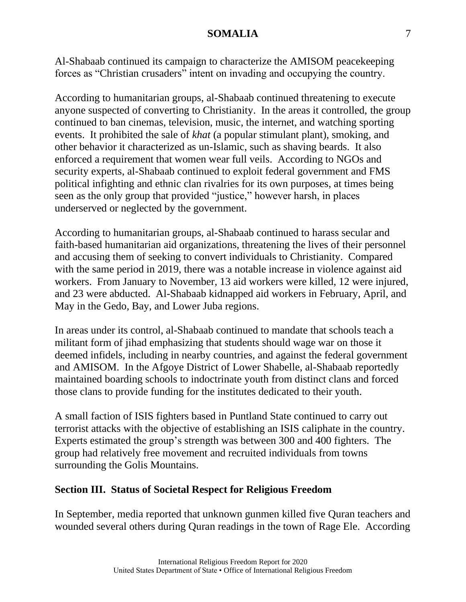Al-Shabaab continued its campaign to characterize the AMISOM peacekeeping forces as "Christian crusaders" intent on invading and occupying the country.

According to humanitarian groups, al-Shabaab continued threatening to execute anyone suspected of converting to Christianity. In the areas it controlled, the group continued to ban cinemas, television, music, the internet, and watching sporting events. It prohibited the sale of *khat* (a popular stimulant plant), smoking, and other behavior it characterized as un-Islamic, such as shaving beards. It also enforced a requirement that women wear full veils. According to NGOs and security experts, al-Shabaab continued to exploit federal government and FMS political infighting and ethnic clan rivalries for its own purposes, at times being seen as the only group that provided "justice," however harsh, in places underserved or neglected by the government.

According to humanitarian groups, al-Shabaab continued to harass secular and faith-based humanitarian aid organizations, threatening the lives of their personnel and accusing them of seeking to convert individuals to Christianity. Compared with the same period in 2019, there was a notable increase in violence against aid workers. From January to November, 13 aid workers were killed, 12 were injured, and 23 were abducted. Al-Shabaab kidnapped aid workers in February, April, and May in the Gedo, Bay, and Lower Juba regions.

In areas under its control, al-Shabaab continued to mandate that schools teach a militant form of jihad emphasizing that students should wage war on those it deemed infidels, including in nearby countries, and against the federal government and AMISOM. In the Afgoye District of Lower Shabelle, al-Shabaab reportedly maintained boarding schools to indoctrinate youth from distinct clans and forced those clans to provide funding for the institutes dedicated to their youth.

A small faction of ISIS fighters based in Puntland State continued to carry out terrorist attacks with the objective of establishing an ISIS caliphate in the country. Experts estimated the group's strength was between 300 and 400 fighters. The group had relatively free movement and recruited individuals from towns surrounding the Golis Mountains.

# **Section III. Status of Societal Respect for Religious Freedom**

In September, media reported that unknown gunmen killed five Quran teachers and wounded several others during Quran readings in the town of Rage Ele. According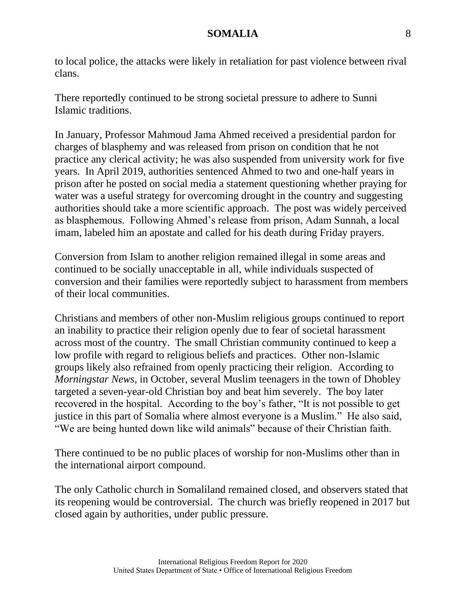to local police, the attacks were likely in retaliation for past violence between rival clans.

There reportedly continued to be strong societal pressure to adhere to Sunni Islamic traditions.

In January, Professor Mahmoud Jama Ahmed received a presidential pardon for charges of blasphemy and was released from prison on condition that he not practice any clerical activity; he was also suspended from university work for five years. In April 2019, authorities sentenced Ahmed to two and one-half years in prison after he posted on social media a statement questioning whether praying for water was a useful strategy for overcoming drought in the country and suggesting authorities should take a more scientific approach. The post was widely perceived as blasphemous. Following Ahmed's release from prison, Adam Sunnah, a local imam, labeled him an apostate and called for his death during Friday prayers.

Conversion from Islam to another religion remained illegal in some areas and continued to be socially unacceptable in all, while individuals suspected of conversion and their families were reportedly subject to harassment from members of their local communities.

Christians and members of other non-Muslim religious groups continued to report an inability to practice their religion openly due to fear of societal harassment across most of the country. The small Christian community continued to keep a low profile with regard to religious beliefs and practices. Other non-Islamic groups likely also refrained from openly practicing their religion. According to *Morningstar News*, in October, several Muslim teenagers in the town of Dhobley targeted a seven-year-old Christian boy and beat him severely. The boy later recovered in the hospital. According to the boy's father, "It is not possible to get justice in this part of Somalia where almost everyone is a Muslim." He also said, "We are being hunted down like wild animals" because of their Christian faith.

There continued to be no public places of worship for non-Muslims other than in the international airport compound.

The only Catholic church in Somaliland remained closed, and observers stated that its reopening would be controversial. The church was briefly reopened in 2017 but closed again by authorities, under public pressure.